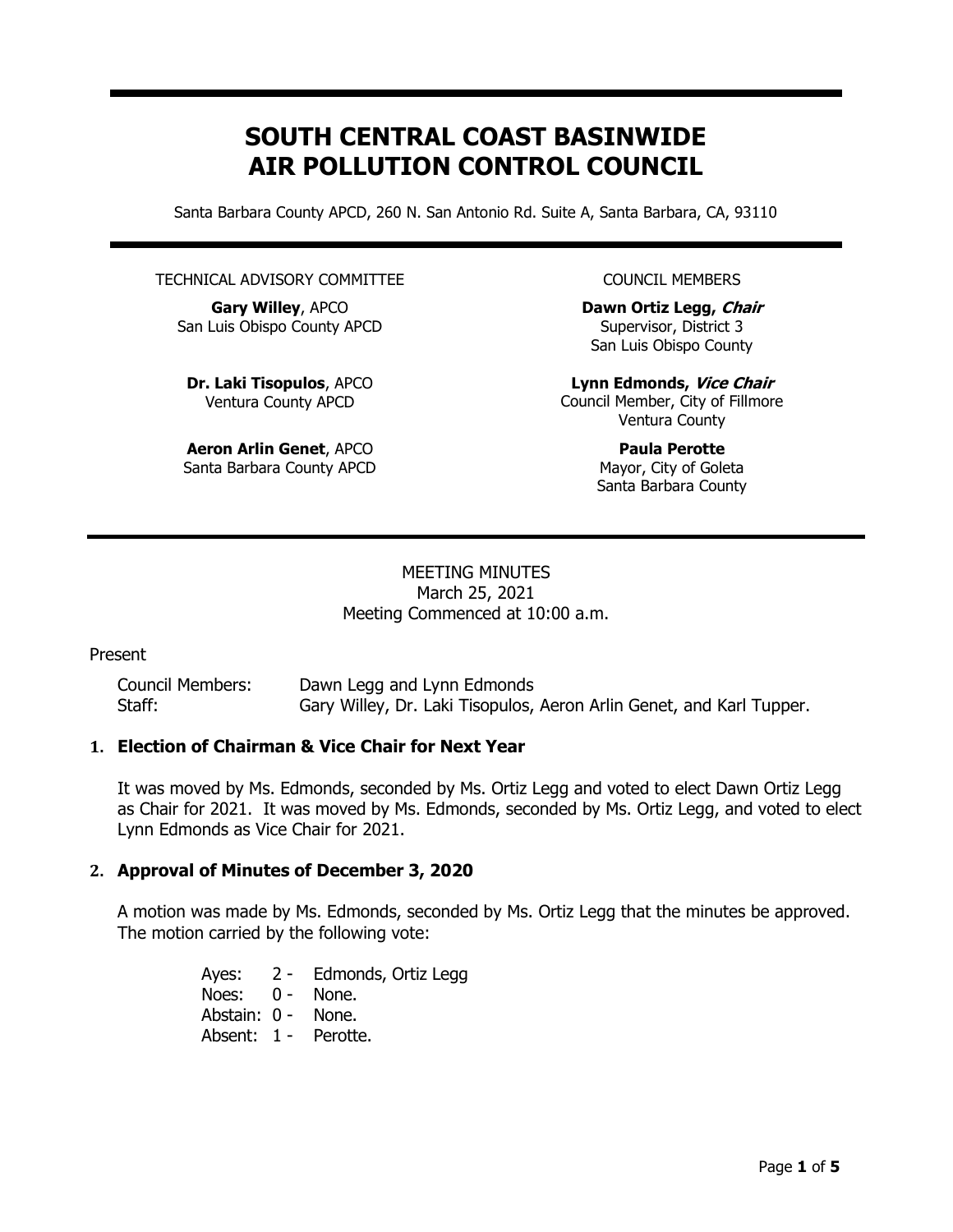# SOUTH CENTRAL COAST BASINWIDE AIR POLLUTION CONTROL COUNCIL

Santa Barbara County APCD, 260 N. San Antonio Rd. Suite A, Santa Barbara, CA, 93110

#### TECHNICAL ADVISORY COMMITTEE

Gary Willey, APCO San Luis Obispo County APCD

Dr. Laki Tisopulos, APCO Ventura County APCD

Aeron Arlin Genet, APCO Santa Barbara County APCD COUNCIL MEMBERS

Dawn Ortiz Legg, Chair Supervisor, District 3 San Luis Obispo County

Lynn Edmonds, Vice Chair Council Member, City of Fillmore Ventura County

> Paula Perotte Mayor, City of Goleta Santa Barbara County

#### MEETING MINUTES March 25, 2021 Meeting Commenced at 10:00 a.m.

#### Present

| <b>Council Members:</b> | Dawn Legg and Lynn Edmonds                                           |
|-------------------------|----------------------------------------------------------------------|
| Staff:                  | Gary Willey, Dr. Laki Tisopulos, Aeron Arlin Genet, and Karl Tupper. |

#### 1. Election of Chairman & Vice Chair for Next Year

It was moved by Ms. Edmonds, seconded by Ms. Ortiz Legg and voted to elect Dawn Ortiz Legg as Chair for 2021. It was moved by Ms. Edmonds, seconded by Ms. Ortiz Legg, and voted to elect Lynn Edmonds as Vice Chair for 2021.

#### 2. Approval of Minutes of December 3, 2020

A motion was made by Ms. Edmonds, seconded by Ms. Ortiz Legg that the minutes be approved. The motion carried by the following vote:

> Ayes: 2 - Edmonds, Ortiz Legg Noes: 0 - None. Abstain: 0 - None. Absent: 1 - Perotte.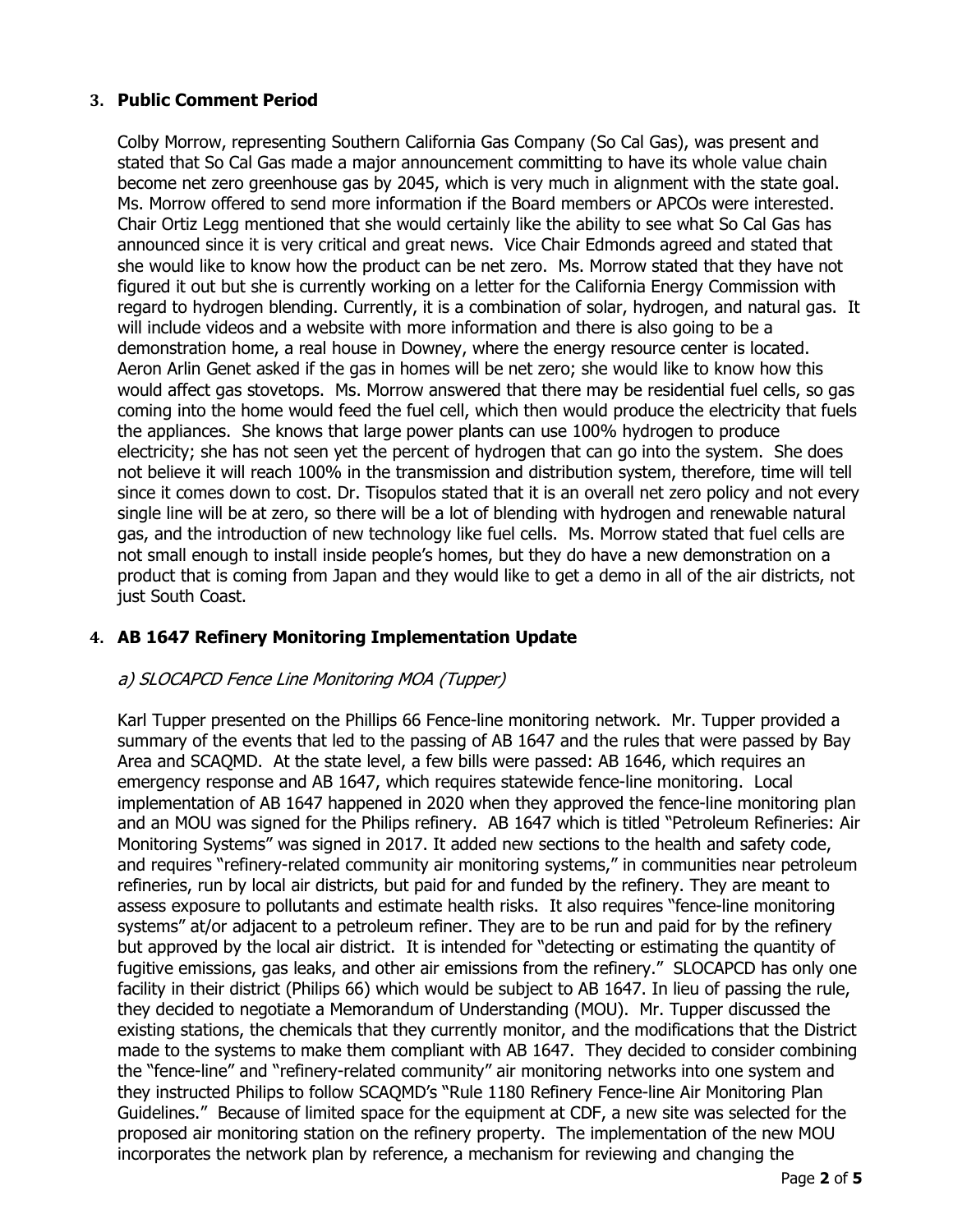#### 3. Public Comment Period

 Colby Morrow, representing Southern California Gas Company (So Cal Gas), was present and stated that So Cal Gas made a major announcement committing to have its whole value chain become net zero greenhouse gas by 2045, which is very much in alignment with the state goal. Ms. Morrow offered to send more information if the Board members or APCOs were interested. Chair Ortiz Legg mentioned that she would certainly like the ability to see what So Cal Gas has announced since it is very critical and great news. Vice Chair Edmonds agreed and stated that she would like to know how the product can be net zero. Ms. Morrow stated that they have not figured it out but she is currently working on a letter for the California Energy Commission with regard to hydrogen blending. Currently, it is a combination of solar, hydrogen, and natural gas. It will include videos and a website with more information and there is also going to be a demonstration home, a real house in Downey, where the energy resource center is located. Aeron Arlin Genet asked if the gas in homes will be net zero; she would like to know how this would affect gas stovetops. Ms. Morrow answered that there may be residential fuel cells, so gas coming into the home would feed the fuel cell, which then would produce the electricity that fuels the appliances. She knows that large power plants can use 100% hydrogen to produce electricity; she has not seen yet the percent of hydrogen that can go into the system. She does not believe it will reach 100% in the transmission and distribution system, therefore, time will tell since it comes down to cost. Dr. Tisopulos stated that it is an overall net zero policy and not every single line will be at zero, so there will be a lot of blending with hydrogen and renewable natural gas, and the introduction of new technology like fuel cells. Ms. Morrow stated that fuel cells are not small enough to install inside people's homes, but they do have a new demonstration on a product that is coming from Japan and they would like to get a demo in all of the air districts, not just South Coast.

## 4. AB 1647 Refinery Monitoring Implementation Update

## a) SLOCAPCD Fence Line Monitoring MOA (Tupper)

Karl Tupper presented on the Phillips 66 Fence-line monitoring network. Mr. Tupper provided a summary of the events that led to the passing of AB 1647 and the rules that were passed by Bay Area and SCAQMD. At the state level, a few bills were passed: AB 1646, which requires an emergency response and AB 1647, which requires statewide fence-line monitoring. Local implementation of AB 1647 happened in 2020 when they approved the fence-line monitoring plan and an MOU was signed for the Philips refinery. AB 1647 which is titled "Petroleum Refineries: Air Monitoring Systems" was signed in 2017. It added new sections to the health and safety code, and requires "refinery-related community air monitoring systems," in communities near petroleum refineries, run by local air districts, but paid for and funded by the refinery. They are meant to assess exposure to pollutants and estimate health risks. It also requires "fence-line monitoring systems" at/or adjacent to a petroleum refiner. They are to be run and paid for by the refinery but approved by the local air district. It is intended for "detecting or estimating the quantity of fugitive emissions, gas leaks, and other air emissions from the refinery." SLOCAPCD has only one facility in their district (Philips 66) which would be subject to AB 1647. In lieu of passing the rule, they decided to negotiate a Memorandum of Understanding (MOU). Mr. Tupper discussed the existing stations, the chemicals that they currently monitor, and the modifications that the District made to the systems to make them compliant with AB 1647. They decided to consider combining the "fence-line" and "refinery-related community" air monitoring networks into one system and they instructed Philips to follow SCAQMD's "Rule 1180 Refinery Fence-line Air Monitoring Plan Guidelines." Because of limited space for the equipment at CDF, a new site was selected for the proposed air monitoring station on the refinery property. The implementation of the new MOU incorporates the network plan by reference, a mechanism for reviewing and changing the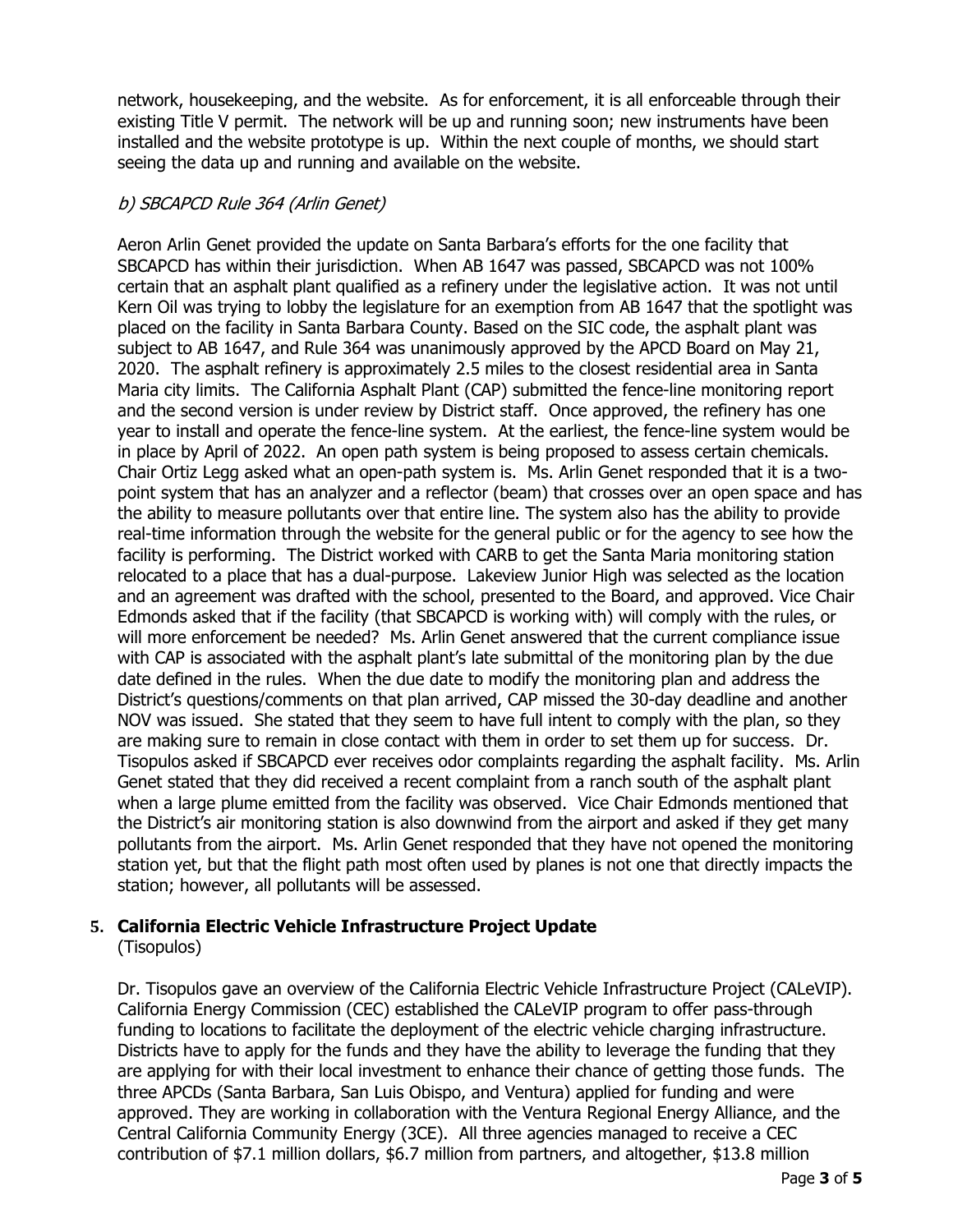network, housekeeping, and the website. As for enforcement, it is all enforceable through their existing Title V permit. The network will be up and running soon; new instruments have been installed and the website prototype is up. Within the next couple of months, we should start seeing the data up and running and available on the website.

## b) SBCAPCD Rule 364 (Arlin Genet)

Aeron Arlin Genet provided the update on Santa Barbara's efforts for the one facility that SBCAPCD has within their jurisdiction. When AB 1647 was passed, SBCAPCD was not 100% certain that an asphalt plant qualified as a refinery under the legislative action. It was not until Kern Oil was trying to lobby the legislature for an exemption from AB 1647 that the spotlight was placed on the facility in Santa Barbara County. Based on the SIC code, the asphalt plant was subject to AB 1647, and Rule 364 was unanimously approved by the APCD Board on May 21, 2020. The asphalt refinery is approximately 2.5 miles to the closest residential area in Santa Maria city limits. The California Asphalt Plant (CAP) submitted the fence-line monitoring report and the second version is under review by District staff. Once approved, the refinery has one year to install and operate the fence-line system. At the earliest, the fence-line system would be in place by April of 2022. An open path system is being proposed to assess certain chemicals. Chair Ortiz Legg asked what an open-path system is. Ms. Arlin Genet responded that it is a twopoint system that has an analyzer and a reflector (beam) that crosses over an open space and has the ability to measure pollutants over that entire line. The system also has the ability to provide real-time information through the website for the general public or for the agency to see how the facility is performing. The District worked with CARB to get the Santa Maria monitoring station relocated to a place that has a dual-purpose. Lakeview Junior High was selected as the location and an agreement was drafted with the school, presented to the Board, and approved. Vice Chair Edmonds asked that if the facility (that SBCAPCD is working with) will comply with the rules, or will more enforcement be needed? Ms. Arlin Genet answered that the current compliance issue with CAP is associated with the asphalt plant's late submittal of the monitoring plan by the due date defined in the rules. When the due date to modify the monitoring plan and address the District's questions/comments on that plan arrived, CAP missed the 30-day deadline and another NOV was issued. She stated that they seem to have full intent to comply with the plan, so they are making sure to remain in close contact with them in order to set them up for success. Dr. Tisopulos asked if SBCAPCD ever receives odor complaints regarding the asphalt facility. Ms. Arlin Genet stated that they did received a recent complaint from a ranch south of the asphalt plant when a large plume emitted from the facility was observed. Vice Chair Edmonds mentioned that the District's air monitoring station is also downwind from the airport and asked if they get many pollutants from the airport. Ms. Arlin Genet responded that they have not opened the monitoring station yet, but that the flight path most often used by planes is not one that directly impacts the station; however, all pollutants will be assessed.

## 5. California Electric Vehicle Infrastructure Project Update

#### (Tisopulos)

Dr. Tisopulos gave an overview of the California Electric Vehicle Infrastructure Project (CALeVIP). California Energy Commission (CEC) established the CALeVIP program to offer pass-through funding to locations to facilitate the deployment of the electric vehicle charging infrastructure. Districts have to apply for the funds and they have the ability to leverage the funding that they are applying for with their local investment to enhance their chance of getting those funds. The three APCDs (Santa Barbara, San Luis Obispo, and Ventura) applied for funding and were approved. They are working in collaboration with the Ventura Regional Energy Alliance, and the Central California Community Energy (3CE). All three agencies managed to receive a CEC contribution of \$7.1 million dollars, \$6.7 million from partners, and altogether, \$13.8 million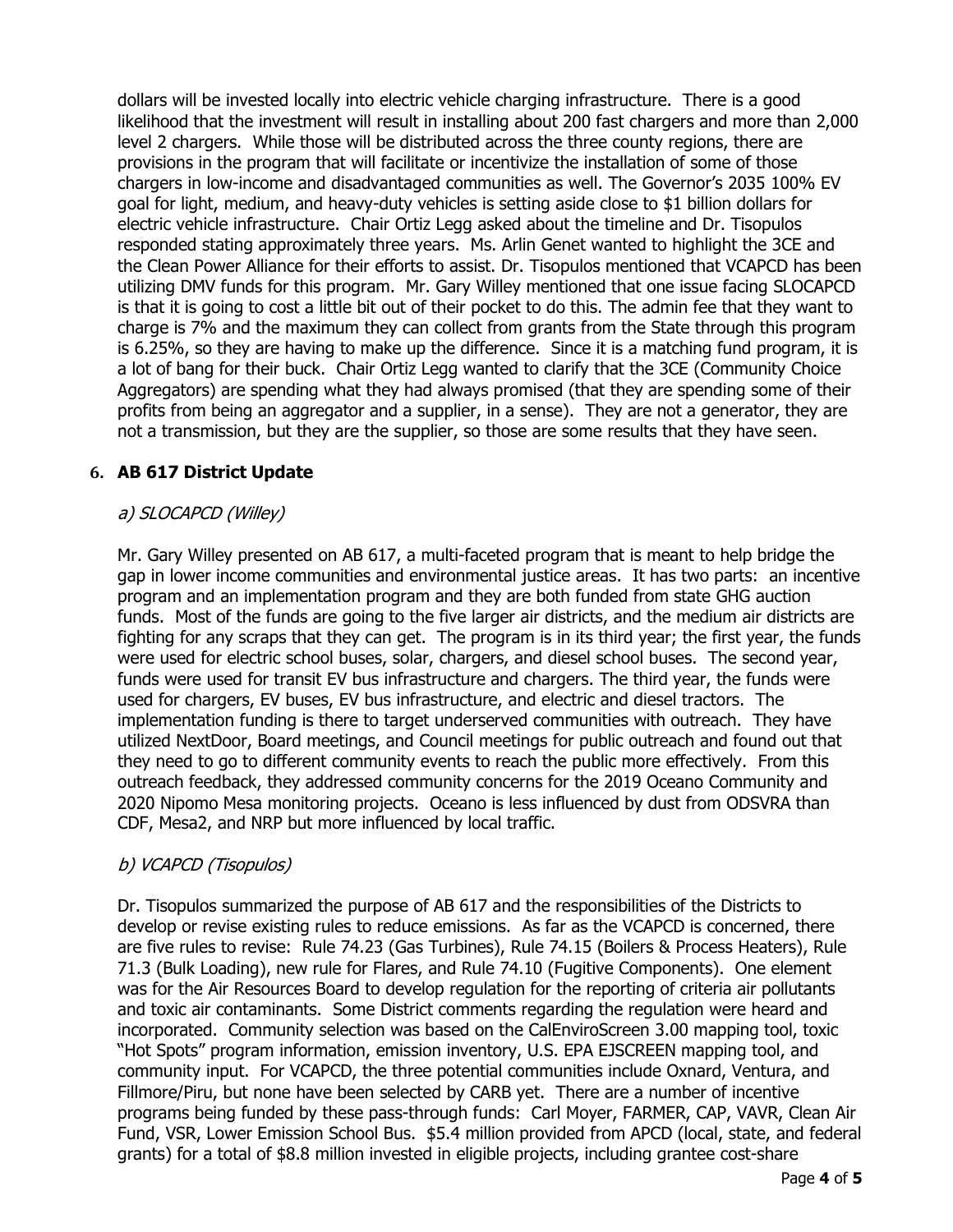dollars will be invested locally into electric vehicle charging infrastructure. There is a good likelihood that the investment will result in installing about 200 fast chargers and more than 2,000 level 2 chargers. While those will be distributed across the three county regions, there are provisions in the program that will facilitate or incentivize the installation of some of those chargers in low-income and disadvantaged communities as well. The Governor's 2035 100% EV goal for light, medium, and heavy-duty vehicles is setting aside close to \$1 billion dollars for electric vehicle infrastructure. Chair Ortiz Legg asked about the timeline and Dr. Tisopulos responded stating approximately three years. Ms. Arlin Genet wanted to highlight the 3CE and the Clean Power Alliance for their efforts to assist. Dr. Tisopulos mentioned that VCAPCD has been utilizing DMV funds for this program. Mr. Gary Willey mentioned that one issue facing SLOCAPCD is that it is going to cost a little bit out of their pocket to do this. The admin fee that they want to charge is 7% and the maximum they can collect from grants from the State through this program is 6.25%, so they are having to make up the difference. Since it is a matching fund program, it is a lot of bang for their buck. Chair Ortiz Legg wanted to clarify that the 3CE (Community Choice Aggregators) are spending what they had always promised (that they are spending some of their profits from being an aggregator and a supplier, in a sense). They are not a generator, they are not a transmission, but they are the supplier, so those are some results that they have seen.

## 6. AB 617 District Update

## a) SLOCAPCD (Willey)

 Mr. Gary Willey presented on AB 617, a multi-faceted program that is meant to help bridge the gap in lower income communities and environmental justice areas. It has two parts: an incentive program and an implementation program and they are both funded from state GHG auction funds. Most of the funds are going to the five larger air districts, and the medium air districts are fighting for any scraps that they can get. The program is in its third year; the first year, the funds were used for electric school buses, solar, chargers, and diesel school buses. The second year, funds were used for transit EV bus infrastructure and chargers. The third year, the funds were used for chargers, EV buses, EV bus infrastructure, and electric and diesel tractors. The implementation funding is there to target underserved communities with outreach. They have utilized NextDoor, Board meetings, and Council meetings for public outreach and found out that they need to go to different community events to reach the public more effectively. From this outreach feedback, they addressed community concerns for the 2019 Oceano Community and 2020 Nipomo Mesa monitoring projects. Oceano is less influenced by dust from ODSVRA than CDF, Mesa2, and NRP but more influenced by local traffic.

## b) VCAPCD (Tisopulos)

 Dr. Tisopulos summarized the purpose of AB 617 and the responsibilities of the Districts to develop or revise existing rules to reduce emissions. As far as the VCAPCD is concerned, there are five rules to revise: Rule 74.23 (Gas Turbines), Rule 74.15 (Boilers & Process Heaters), Rule 71.3 (Bulk Loading), new rule for Flares, and Rule 74.10 (Fugitive Components). One element was for the Air Resources Board to develop regulation for the reporting of criteria air pollutants and toxic air contaminants. Some District comments regarding the regulation were heard and incorporated. Community selection was based on the CalEnviroScreen 3.00 mapping tool, toxic "Hot Spots" program information, emission inventory, U.S. EPA EJSCREEN mapping tool, and community input. For VCAPCD, the three potential communities include Oxnard, Ventura, and Fillmore/Piru, but none have been selected by CARB yet. There are a number of incentive programs being funded by these pass-through funds: Carl Moyer, FARMER, CAP, VAVR, Clean Air Fund, VSR, Lower Emission School Bus. \$5.4 million provided from APCD (local, state, and federal grants) for a total of \$8.8 million invested in eligible projects, including grantee cost-share